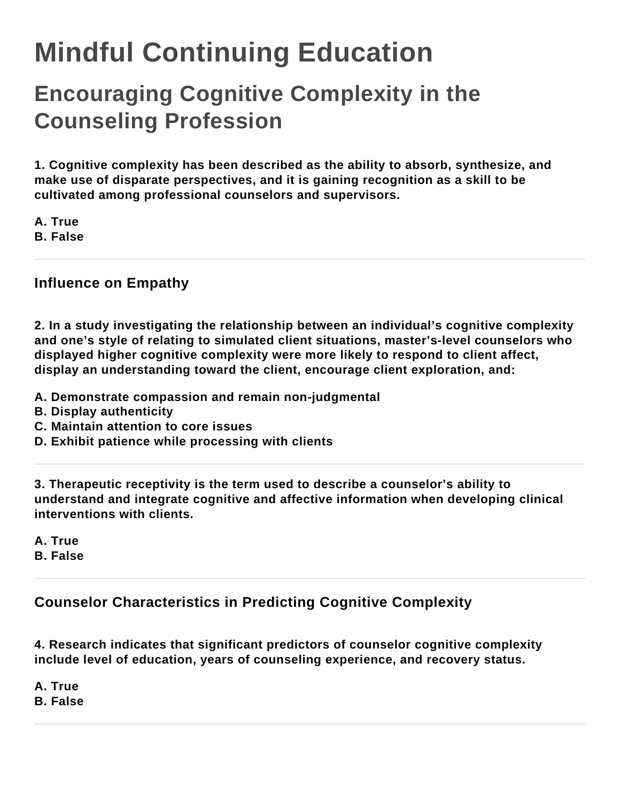## **Mindful Continuing Education**

## **Encouraging Cognitive Complexity in the Counseling Profession**

**1. Cognitive complexity has been described as the ability to absorb, synthesize, and make use of disparate perspectives, and it is gaining recognition as a skill to be cultivated among professional counselors and supervisors.**

**A. True B. False**

## **Influence on Empathy**

**2. In a study investigating the relationship between an individual's cognitive complexity and one's style of relating to simulated client situations, master's-level counselors who displayed higher cognitive complexity were more likely to respond to client affect, display an understanding toward the client, encourage client exploration, and:**

- **A. Demonstrate compassion and remain non-judgmental**
- **B. Display authenticity**
- **C. Maintain attention to core issues**
- **D. Exhibit patience while processing with clients**

**3. Therapeutic receptivity is the term used to describe a counselor's ability to understand and integrate cognitive and affective information when developing clinical interventions with clients.**

**A. True B. False**

**Counselor Characteristics in Predicting Cognitive Complexity**

**4. Research indicates that significant predictors of counselor cognitive complexity include level of education, years of counseling experience, and recovery status.**

**A. True B. False**